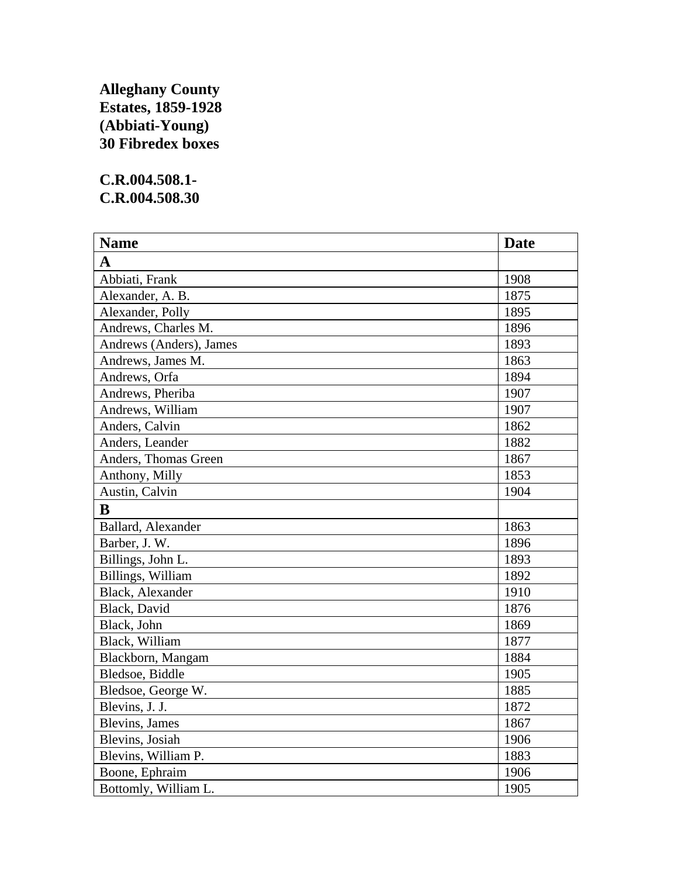## **Alleghany County Estates, 1859-1928 (Abbiati-Young) 30 Fibredex boxes**

## **C.R.004.508.1- C.R.004.508.30**

| <b>Name</b>             | <b>Date</b> |
|-------------------------|-------------|
| $\mathbf{A}$            |             |
| Abbiati, Frank          | 1908        |
| Alexander, A. B.        | 1875        |
| Alexander, Polly        | 1895        |
| Andrews, Charles M.     | 1896        |
| Andrews (Anders), James | 1893        |
| Andrews, James M.       | 1863        |
| Andrews, Orfa           | 1894        |
| Andrews, Pheriba        | 1907        |
| Andrews, William        | 1907        |
| Anders, Calvin          | 1862        |
| Anders, Leander         | 1882        |
| Anders, Thomas Green    | 1867        |
| Anthony, Milly          | 1853        |
| Austin, Calvin          | 1904        |
| $\bf{B}$                |             |
| Ballard, Alexander      | 1863        |
| Barber, J. W.           | 1896        |
| Billings, John L.       | 1893        |
| Billings, William       | 1892        |
| Black, Alexander        | 1910        |
| Black, David            | 1876        |
| Black, John             | 1869        |
| Black, William          | 1877        |
| Blackborn, Mangam       | 1884        |
| Bledsoe, Biddle         | 1905        |
| Bledsoe, George W.      | 1885        |
| Blevins, J. J.          | 1872        |
| <b>Blevins</b> , James  | 1867        |
| Blevins, Josiah         | 1906        |
| Blevins, William P.     | 1883        |
| Boone, Ephraim          | 1906        |
| Bottomly, William L.    | 1905        |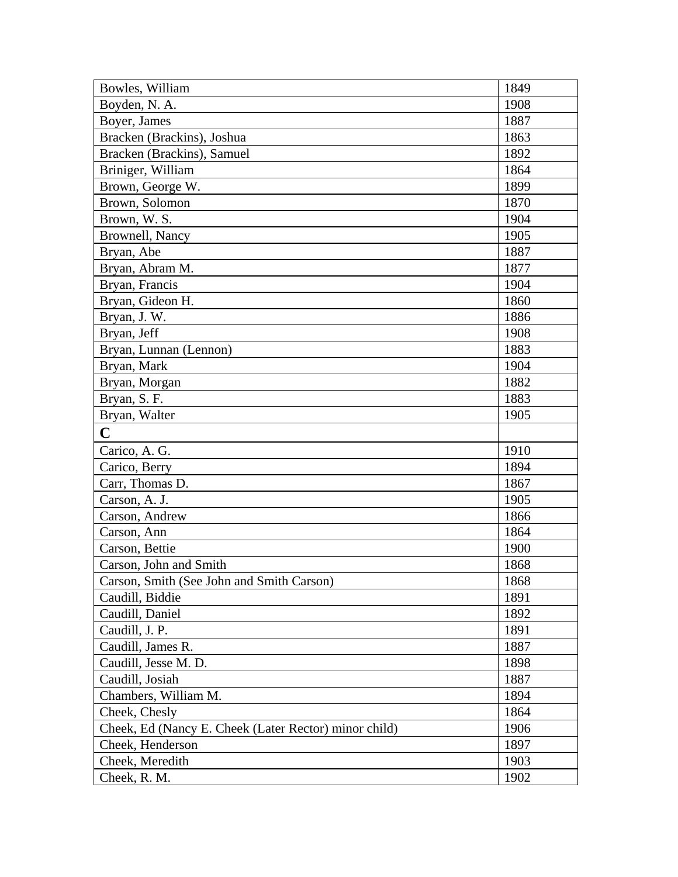| Bowles, William                                       | 1849 |
|-------------------------------------------------------|------|
| Boyden, N. A.                                         | 1908 |
| Boyer, James                                          | 1887 |
| Bracken (Brackins), Joshua                            | 1863 |
| Bracken (Brackins), Samuel                            | 1892 |
| Briniger, William                                     | 1864 |
| Brown, George W.                                      | 1899 |
| Brown, Solomon                                        | 1870 |
| Brown, W. S.                                          | 1904 |
| Brownell, Nancy                                       | 1905 |
| Bryan, Abe                                            | 1887 |
| Bryan, Abram M.                                       | 1877 |
| Bryan, Francis                                        | 1904 |
| Bryan, Gideon H.                                      | 1860 |
| Bryan, J. W.                                          | 1886 |
| Bryan, Jeff                                           | 1908 |
| Bryan, Lunnan (Lennon)                                | 1883 |
| Bryan, Mark                                           | 1904 |
| Bryan, Morgan                                         | 1882 |
| Bryan, S. F.                                          | 1883 |
| Bryan, Walter                                         | 1905 |
| $\mathbf C$                                           |      |
| Carico, A. G.                                         | 1910 |
| Carico, Berry                                         | 1894 |
| Carr, Thomas D.                                       | 1867 |
| Carson, A. J.                                         | 1905 |
| Carson, Andrew                                        | 1866 |
| Carson, Ann                                           | 1864 |
| Carson, Bettie                                        | 1900 |
| Carson, John and Smith                                | 1868 |
| Carson, Smith (See John and Smith Carson)             | 1868 |
| Caudill, Biddie                                       | 1891 |
| Caudill, Daniel                                       | 1892 |
| Caudill, J. P.                                        | 1891 |
| Caudill, James R.                                     | 1887 |
| Caudill, Jesse M. D.                                  | 1898 |
| Caudill, Josiah                                       | 1887 |
| Chambers, William M.                                  | 1894 |
| Cheek, Chesly                                         | 1864 |
| Cheek, Ed (Nancy E. Cheek (Later Rector) minor child) | 1906 |
| Cheek, Henderson                                      | 1897 |
| Cheek, Meredith                                       | 1903 |
| Cheek, R. M.                                          | 1902 |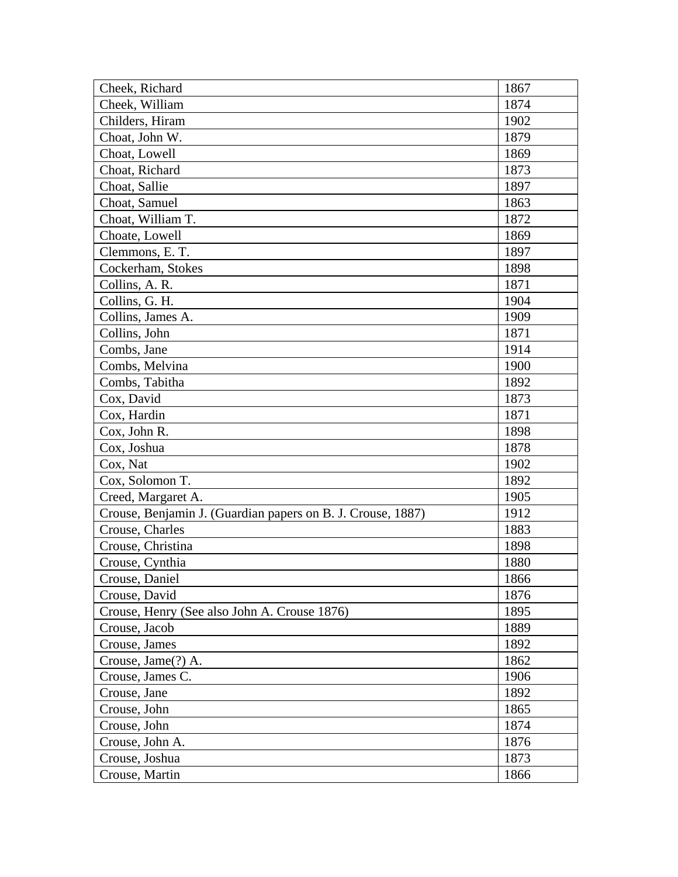| Cheek, Richard                                              | 1867 |
|-------------------------------------------------------------|------|
| Cheek, William                                              | 1874 |
| Childers, Hiram                                             | 1902 |
| Choat, John W.                                              | 1879 |
| Choat, Lowell                                               | 1869 |
| Choat, Richard                                              | 1873 |
| Choat, Sallie                                               | 1897 |
| Choat, Samuel                                               | 1863 |
| Choat, William T.                                           | 1872 |
| Choate, Lowell                                              | 1869 |
| Clemmons, E.T.                                              | 1897 |
| Cockerham, Stokes                                           | 1898 |
| Collins, A. R.                                              | 1871 |
| Collins, G. H.                                              | 1904 |
| Collins, James A.                                           | 1909 |
| Collins, John                                               | 1871 |
| Combs, Jane                                                 | 1914 |
| Combs, Melvina                                              | 1900 |
| Combs, Tabitha                                              | 1892 |
| Cox, David                                                  | 1873 |
| Cox, Hardin                                                 | 1871 |
| Cox, John R.                                                | 1898 |
| Cox, Joshua                                                 | 1878 |
| Cox, Nat                                                    | 1902 |
| Cox, Solomon T.                                             | 1892 |
| Creed, Margaret A.                                          | 1905 |
| Crouse, Benjamin J. (Guardian papers on B. J. Crouse, 1887) | 1912 |
| Crouse, Charles                                             | 1883 |
| Crouse, Christina                                           | 1898 |
| Crouse, Cynthia                                             | 1880 |
| Crouse, Daniel                                              | 1866 |
| Crouse, David                                               | 1876 |
| Crouse, Henry (See also John A. Crouse 1876)                | 1895 |
| Crouse, Jacob                                               | 1889 |
| Crouse, James                                               | 1892 |
| Crouse, Jame(?) A.                                          | 1862 |
| Crouse, James C.                                            | 1906 |
| Crouse, Jane                                                | 1892 |
| Crouse, John                                                | 1865 |
| Crouse, John                                                | 1874 |
| Crouse, John A.                                             | 1876 |
| Crouse, Joshua                                              | 1873 |
| Crouse, Martin                                              | 1866 |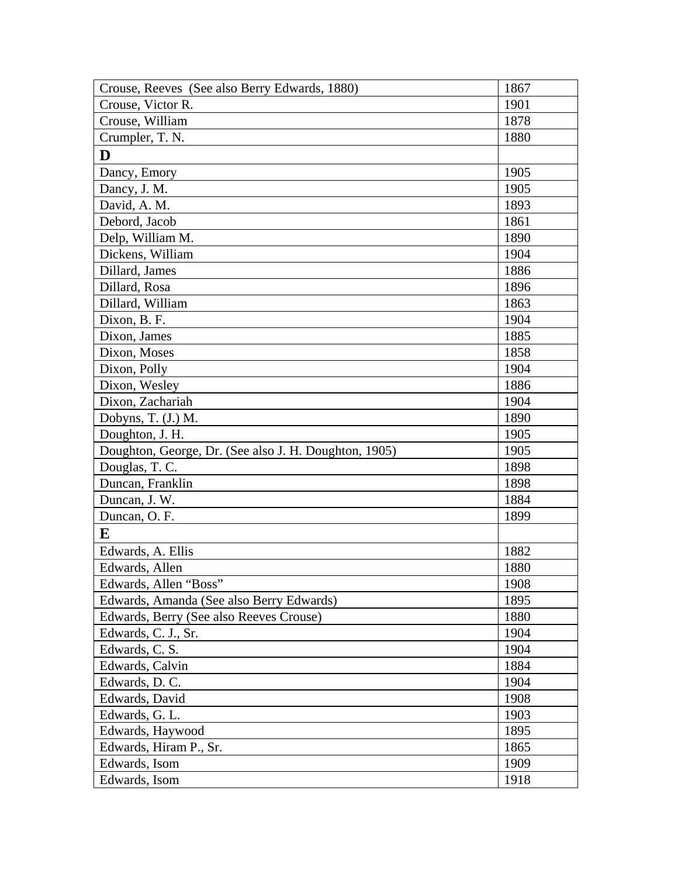| Crouse, Reeves (See also Berry Edwards, 1880)         | 1867 |
|-------------------------------------------------------|------|
| Crouse, Victor R.                                     | 1901 |
| Crouse, William                                       | 1878 |
| Crumpler, T. N.                                       | 1880 |
| D                                                     |      |
| Dancy, Emory                                          | 1905 |
| Dancy, J. M.                                          | 1905 |
| David, A. M.                                          | 1893 |
| Debord, Jacob                                         | 1861 |
| Delp, William M.                                      | 1890 |
| Dickens, William                                      | 1904 |
| Dillard, James                                        | 1886 |
| Dillard, Rosa                                         | 1896 |
| Dillard, William                                      | 1863 |
| Dixon, B. F.                                          | 1904 |
| Dixon, James                                          | 1885 |
| Dixon, Moses                                          | 1858 |
| Dixon, Polly                                          | 1904 |
| Dixon, Wesley                                         | 1886 |
| Dixon, Zachariah                                      | 1904 |
| Dobyns, T. (J.) M.                                    | 1890 |
| Doughton, J. H.                                       | 1905 |
| Doughton, George, Dr. (See also J. H. Doughton, 1905) | 1905 |
| Douglas, T. C.                                        | 1898 |
| Duncan, Franklin                                      | 1898 |
| Duncan, J. W.                                         | 1884 |
| Duncan, O. F.                                         | 1899 |
| E                                                     |      |
| Edwards, A. Ellis                                     | 1882 |
| Edwards, Allen                                        | 1880 |
| Edwards, Allen "Boss"                                 | 1908 |
| Edwards, Amanda (See also Berry Edwards)              | 1895 |
| Edwards, Berry (See also Reeves Crouse)               | 1880 |
| Edwards, C. J., Sr.                                   | 1904 |
| Edwards, C. S.                                        | 1904 |
| Edwards, Calvin                                       | 1884 |
| Edwards, D. C.                                        | 1904 |
| Edwards, David                                        | 1908 |
| Edwards, G. L.                                        | 1903 |
| Edwards, Haywood                                      | 1895 |
| Edwards, Hiram P., Sr.                                | 1865 |
| Edwards, Isom                                         | 1909 |
| Edwards, Isom                                         | 1918 |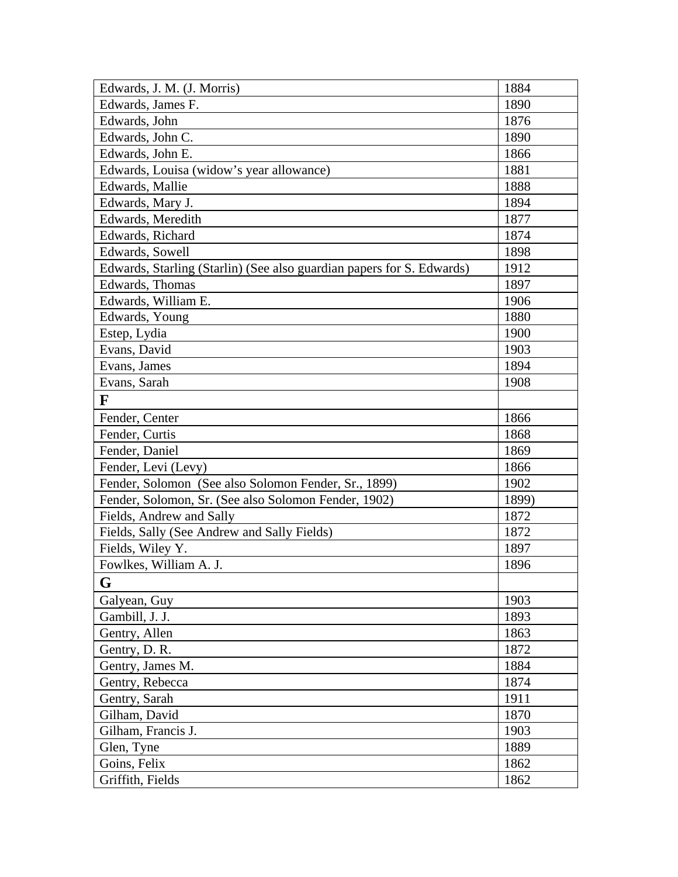| Edwards, J. M. (J. Morris)                                            | 1884  |
|-----------------------------------------------------------------------|-------|
| Edwards, James F.                                                     | 1890  |
| Edwards, John                                                         | 1876  |
| Edwards, John C.                                                      | 1890  |
| Edwards, John E.                                                      | 1866  |
| Edwards, Louisa (widow's year allowance)                              | 1881  |
| Edwards, Mallie                                                       | 1888  |
| Edwards, Mary J.                                                      | 1894  |
| Edwards, Meredith                                                     | 1877  |
| Edwards, Richard                                                      | 1874  |
| Edwards, Sowell                                                       | 1898  |
| Edwards, Starling (Starlin) (See also guardian papers for S. Edwards) | 1912  |
| Edwards, Thomas                                                       | 1897  |
| Edwards, William E.                                                   | 1906  |
| Edwards, Young                                                        | 1880  |
| Estep, Lydia                                                          | 1900  |
| Evans, David                                                          | 1903  |
| Evans, James                                                          | 1894  |
| Evans, Sarah                                                          | 1908  |
| F                                                                     |       |
| Fender, Center                                                        | 1866  |
| Fender, Curtis                                                        | 1868  |
| Fender, Daniel                                                        | 1869  |
| Fender, Levi (Levy)                                                   | 1866  |
| Fender, Solomon (See also Solomon Fender, Sr., 1899)                  | 1902  |
| Fender, Solomon, Sr. (See also Solomon Fender, 1902)                  | 1899) |
| Fields, Andrew and Sally                                              | 1872  |
| Fields, Sally (See Andrew and Sally Fields)                           | 1872  |
| Fields, Wiley Y.                                                      | 1897  |
| Fowlkes, William A. J.                                                | 1896  |
| G                                                                     |       |
| Galyean, Guy                                                          | 1903  |
| Gambill, J. J.                                                        | 1893  |
| Gentry, Allen                                                         | 1863  |
| Gentry, D. R.                                                         | 1872  |
| Gentry, James M.                                                      | 1884  |
| Gentry, Rebecca                                                       | 1874  |
| Gentry, Sarah                                                         | 1911  |
| Gilham, David                                                         | 1870  |
| Gilham, Francis J.                                                    | 1903  |
| Glen, Tyne                                                            | 1889  |
| Goins, Felix                                                          | 1862  |
| Griffith, Fields                                                      | 1862  |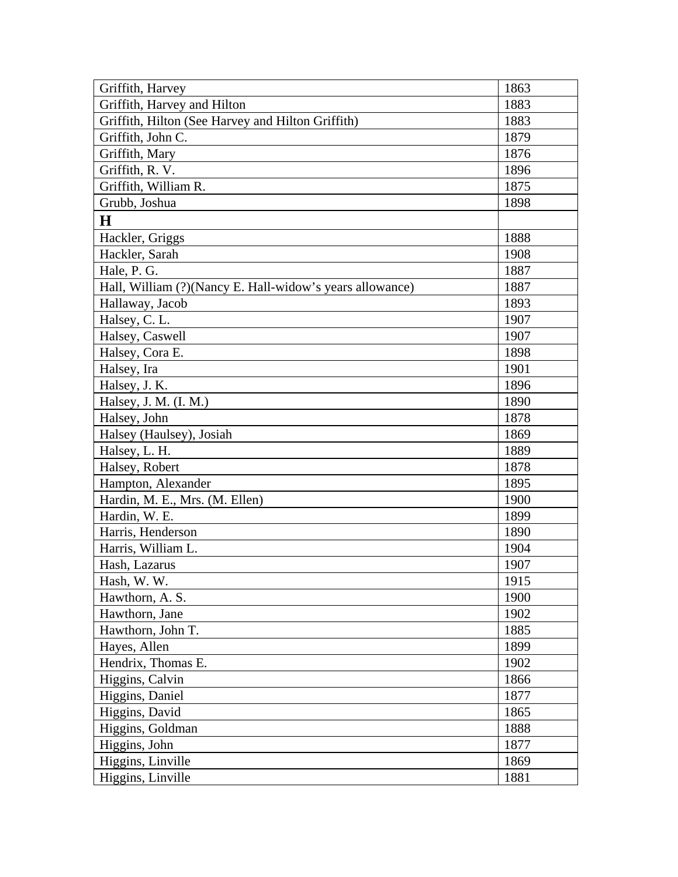| Griffith, Harvey                                         | 1863 |
|----------------------------------------------------------|------|
| Griffith, Harvey and Hilton                              | 1883 |
| Griffith, Hilton (See Harvey and Hilton Griffith)        | 1883 |
| Griffith, John C.                                        | 1879 |
| Griffith, Mary                                           | 1876 |
| Griffith, R. V.                                          | 1896 |
| Griffith, William R.                                     | 1875 |
| Grubb, Joshua                                            | 1898 |
| $\bf H$                                                  |      |
| Hackler, Griggs                                          | 1888 |
| Hackler, Sarah                                           | 1908 |
| Hale, P. G.                                              | 1887 |
| Hall, William (?)(Nancy E. Hall-widow's years allowance) | 1887 |
| Hallaway, Jacob                                          | 1893 |
| Halsey, C. L.                                            | 1907 |
| Halsey, Caswell                                          | 1907 |
| Halsey, Cora E.                                          | 1898 |
| Halsey, Ira                                              | 1901 |
| Halsey, J. K.                                            | 1896 |
| Halsey, J. M. (I. M.)                                    | 1890 |
| Halsey, John                                             | 1878 |
| Halsey (Haulsey), Josiah                                 | 1869 |
| Halsey, L. H.                                            | 1889 |
| Halsey, Robert                                           | 1878 |
| Hampton, Alexander                                       | 1895 |
| Hardin, M. E., Mrs. (M. Ellen)                           | 1900 |
| Hardin, W. E.                                            | 1899 |
| Harris, Henderson                                        | 1890 |
| Harris, William L.                                       | 1904 |
| Hash, Lazarus                                            | 1907 |
| Hash, W. W.                                              | 1915 |
| Hawthorn, A. S.                                          | 1900 |
| Hawthorn, Jane                                           | 1902 |
| Hawthorn, John T.                                        | 1885 |
| Hayes, Allen                                             | 1899 |
| Hendrix, Thomas E.                                       | 1902 |
| Higgins, Calvin                                          | 1866 |
| Higgins, Daniel                                          | 1877 |
| Higgins, David                                           | 1865 |
| Higgins, Goldman                                         | 1888 |
| Higgins, John                                            | 1877 |
| Higgins, Linville                                        | 1869 |
| Higgins, Linville                                        | 1881 |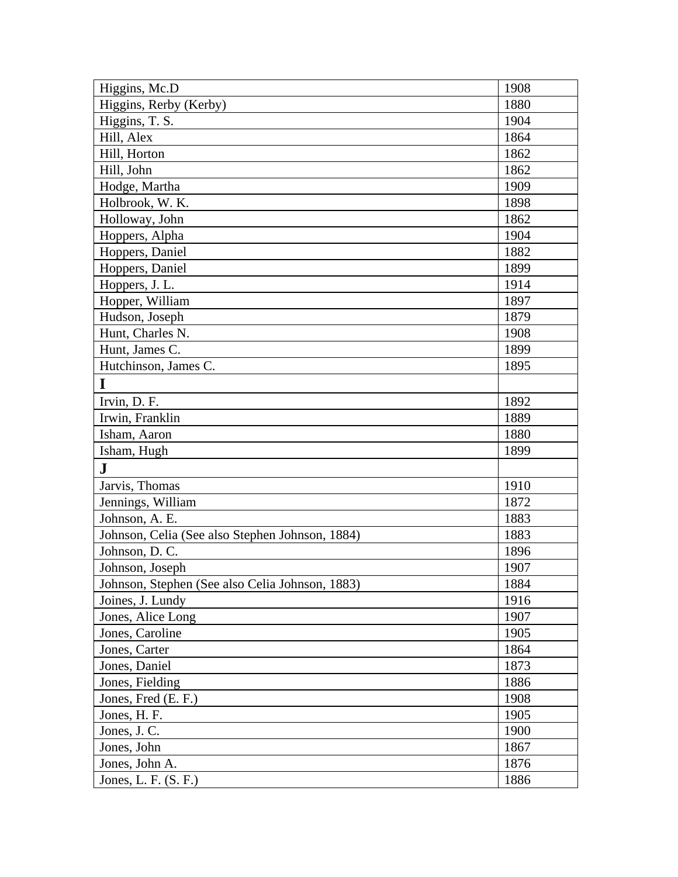| Higgins, Mc.D                                   | 1908 |
|-------------------------------------------------|------|
| Higgins, Rerby (Kerby)                          | 1880 |
| Higgins, T. S.                                  | 1904 |
| Hill, Alex                                      | 1864 |
| Hill, Horton                                    | 1862 |
| Hill, John                                      | 1862 |
| Hodge, Martha                                   | 1909 |
| Holbrook, W. K.                                 | 1898 |
| Holloway, John                                  | 1862 |
| Hoppers, Alpha                                  | 1904 |
| Hoppers, Daniel                                 | 1882 |
| Hoppers, Daniel                                 | 1899 |
| Hoppers, J.L.                                   | 1914 |
| Hopper, William                                 | 1897 |
| Hudson, Joseph                                  | 1879 |
| Hunt, Charles N.                                | 1908 |
| Hunt, James C.                                  | 1899 |
| Hutchinson, James C.                            | 1895 |
| I                                               |      |
| Irvin, D. F.                                    | 1892 |
| Irwin, Franklin                                 | 1889 |
| Isham, Aaron                                    | 1880 |
| Isham, Hugh                                     | 1899 |
| ${\bf J}$                                       |      |
| Jarvis, Thomas                                  | 1910 |
| Jennings, William                               | 1872 |
| Johnson, A. E.                                  | 1883 |
| Johnson, Celia (See also Stephen Johnson, 1884) | 1883 |
| Johnson, D.C.                                   | 1896 |
| Johnson, Joseph                                 | 1907 |
| Johnson, Stephen (See also Celia Johnson, 1883) | 1884 |
| Joines, J. Lundy                                | 1916 |
| Jones, Alice Long                               | 1907 |
| Jones, Caroline                                 | 1905 |
| Jones, Carter                                   | 1864 |
| Jones, Daniel                                   | 1873 |
| Jones, Fielding                                 | 1886 |
| Jones, Fred (E. F.)                             | 1908 |
| Jones, H. F.                                    | 1905 |
| Jones, J.C.                                     | 1900 |
| Jones, John                                     | 1867 |
| Jones, John A.                                  | 1876 |
| Jones, L. F. (S. F.)                            | 1886 |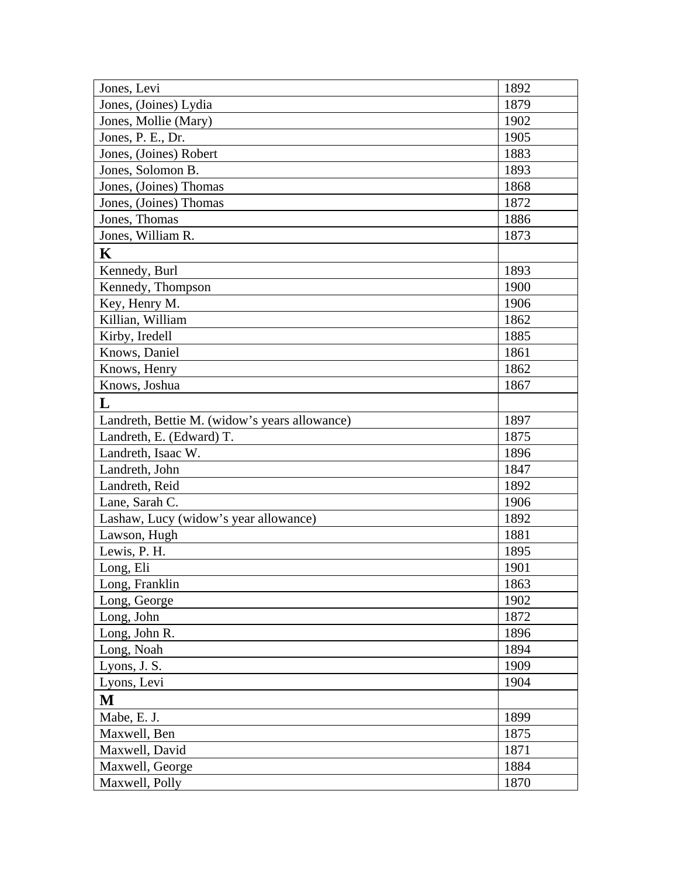| Jones, Levi                                   | 1892 |
|-----------------------------------------------|------|
| Jones, (Joines) Lydia                         | 1879 |
| Jones, Mollie (Mary)                          | 1902 |
| Jones, P. E., Dr.                             | 1905 |
| Jones, (Joines) Robert                        | 1883 |
| Jones, Solomon B.                             | 1893 |
| Jones, (Joines) Thomas                        | 1868 |
| Jones, (Joines) Thomas                        | 1872 |
| Jones, Thomas                                 | 1886 |
| Jones, William R.                             | 1873 |
| $\mathbf K$                                   |      |
| Kennedy, Burl                                 | 1893 |
| Kennedy, Thompson                             | 1900 |
| Key, Henry M.                                 | 1906 |
| Killian, William                              | 1862 |
| Kirby, Iredell                                | 1885 |
| Knows, Daniel                                 | 1861 |
| Knows, Henry                                  | 1862 |
| Knows, Joshua                                 | 1867 |
| L                                             |      |
| Landreth, Bettie M. (widow's years allowance) | 1897 |
| Landreth, E. (Edward) T.                      | 1875 |
| Landreth, Isaac W.                            | 1896 |
| Landreth, John                                | 1847 |
| Landreth, Reid                                | 1892 |
| Lane, Sarah C.                                | 1906 |
| Lashaw, Lucy (widow's year allowance)         | 1892 |
| Lawson, Hugh                                  | 1881 |
| Lewis, P. H.                                  | 1895 |
| Long, Eli                                     | 1901 |
| Long, Franklin                                | 1863 |
| Long, George                                  | 1902 |
| Long, John                                    | 1872 |
| Long, John R.                                 | 1896 |
| Long, Noah                                    | 1894 |
| Lyons, J. S.                                  | 1909 |
| Lyons, Levi                                   | 1904 |
| M                                             |      |
| Mabe, E. J.                                   | 1899 |
| Maxwell, Ben                                  | 1875 |
| Maxwell, David                                | 1871 |
| Maxwell, George                               | 1884 |
| Maxwell, Polly                                | 1870 |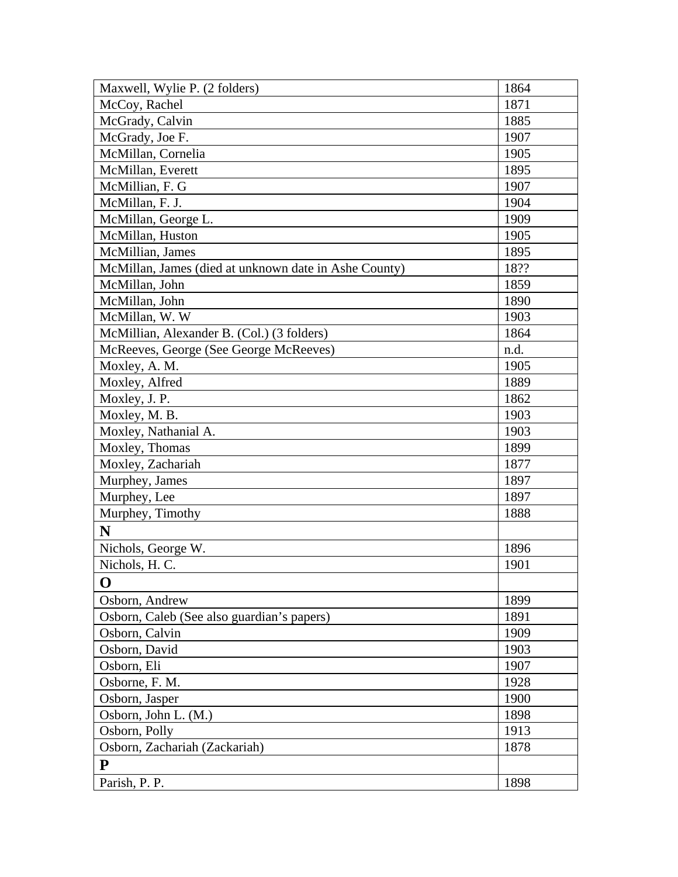| Maxwell, Wylie P. (2 folders)                         | 1864 |
|-------------------------------------------------------|------|
| McCoy, Rachel                                         | 1871 |
| McGrady, Calvin                                       | 1885 |
| McGrady, Joe F.                                       | 1907 |
| McMillan, Cornelia                                    | 1905 |
| McMillan, Everett                                     | 1895 |
| McMillian, F. G                                       | 1907 |
| McMillan, F. J.                                       | 1904 |
| McMillan, George L.                                   | 1909 |
| McMillan, Huston                                      | 1905 |
| McMillian, James                                      | 1895 |
| McMillan, James (died at unknown date in Ashe County) | 18?? |
| McMillan, John                                        | 1859 |
| McMillan, John                                        | 1890 |
| McMillan, W.W.                                        | 1903 |
| McMillian, Alexander B. (Col.) (3 folders)            | 1864 |
| McReeves, George (See George McReeves)                | n.d. |
| Moxley, A. M.                                         | 1905 |
| Moxley, Alfred                                        | 1889 |
| Moxley, J. P.                                         | 1862 |
| Moxley, M. B.                                         | 1903 |
| Moxley, Nathanial A.                                  | 1903 |
| Moxley, Thomas                                        | 1899 |
| Moxley, Zachariah                                     | 1877 |
| Murphey, James                                        | 1897 |
| Murphey, Lee                                          | 1897 |
| Murphey, Timothy                                      | 1888 |
| N                                                     |      |
| Nichols, George W.                                    | 1896 |
| Nichols, H. C.                                        | 1901 |
| O                                                     |      |
| Osborn, Andrew                                        | 1899 |
| Osborn, Caleb (See also guardian's papers)            | 1891 |
| Osborn, Calvin                                        | 1909 |
| Osborn, David                                         | 1903 |
| Osborn, Eli                                           | 1907 |
| Osborne, F. M.                                        | 1928 |
| Osborn, Jasper                                        | 1900 |
| Osborn, John L. (M.)                                  | 1898 |
| Osborn, Polly                                         | 1913 |
| Osborn, Zachariah (Zackariah)                         | 1878 |
| P                                                     |      |
| Parish, P. P.                                         | 1898 |
|                                                       |      |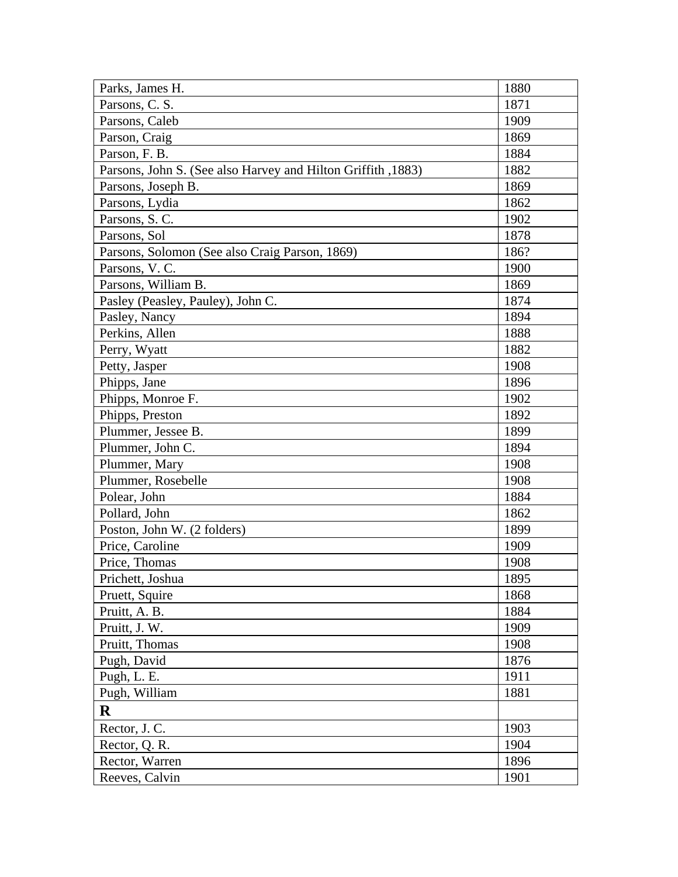| Parks, James H.                                              | 1880 |
|--------------------------------------------------------------|------|
| Parsons, C. S.                                               | 1871 |
| Parsons, Caleb                                               | 1909 |
| Parson, Craig                                                | 1869 |
| Parson, F. B.                                                | 1884 |
| Parsons, John S. (See also Harvey and Hilton Griffith, 1883) | 1882 |
| Parsons, Joseph B.                                           | 1869 |
| Parsons, Lydia                                               | 1862 |
| Parsons, S.C.                                                | 1902 |
| Parsons, Sol                                                 | 1878 |
| Parsons, Solomon (See also Craig Parson, 1869)               | 186? |
| Parsons, V. C.                                               | 1900 |
| Parsons, William B.                                          | 1869 |
| Pasley (Peasley, Pauley), John C.                            | 1874 |
| Pasley, Nancy                                                | 1894 |
| Perkins, Allen                                               | 1888 |
| Perry, Wyatt                                                 | 1882 |
| Petty, Jasper                                                | 1908 |
| Phipps, Jane                                                 | 1896 |
| Phipps, Monroe F.                                            | 1902 |
| Phipps, Preston                                              | 1892 |
| Plummer, Jessee B.                                           | 1899 |
| Plummer, John C.                                             | 1894 |
| Plummer, Mary                                                | 1908 |
| Plummer, Rosebelle                                           | 1908 |
| Polear, John                                                 | 1884 |
| Pollard, John                                                | 1862 |
| Poston, John W. (2 folders)                                  | 1899 |
| Price, Caroline                                              | 1909 |
| Price, Thomas                                                | 1908 |
| Prichett, Joshua                                             | 1895 |
| Pruett, Squire                                               | 1868 |
| Pruitt, A. B.                                                | 1884 |
| Pruitt, J. W.                                                | 1909 |
| Pruitt, Thomas                                               | 1908 |
| Pugh, David                                                  | 1876 |
| Pugh, L. E.                                                  | 1911 |
| Pugh, William                                                | 1881 |
| $\bf R$                                                      |      |
| Rector, J. C.                                                | 1903 |
| Rector, Q. R.                                                | 1904 |
| Rector, Warren                                               | 1896 |
| Reeves, Calvin                                               | 1901 |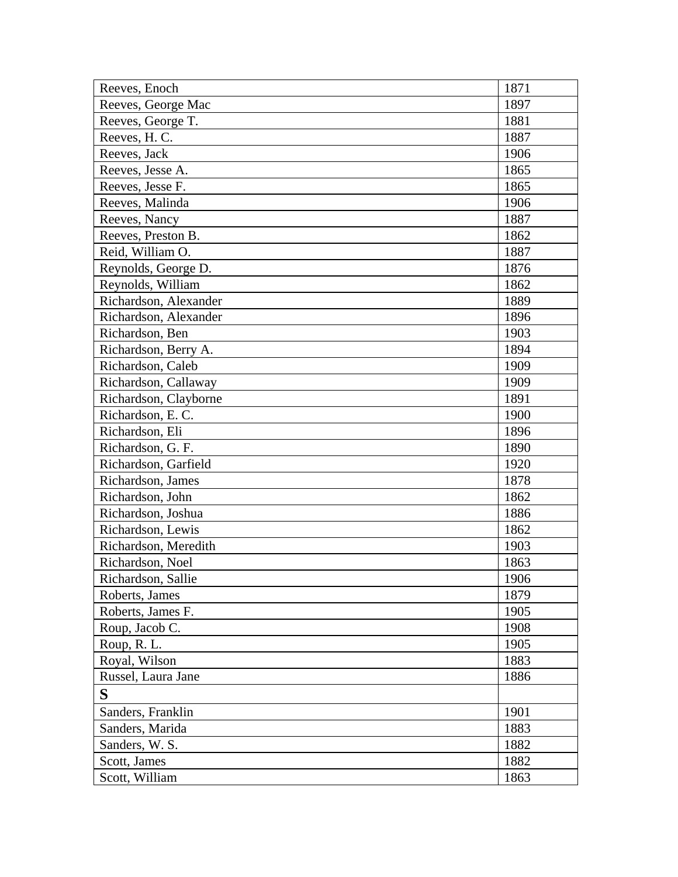| Reeves, Enoch         | 1871 |
|-----------------------|------|
| Reeves, George Mac    | 1897 |
| Reeves, George T.     | 1881 |
| Reeves, H.C.          | 1887 |
| Reeves, Jack          | 1906 |
| Reeves, Jesse A.      | 1865 |
| Reeves, Jesse F.      | 1865 |
| Reeves, Malinda       | 1906 |
| Reeves, Nancy         | 1887 |
| Reeves, Preston B.    | 1862 |
| Reid, William O.      | 1887 |
| Reynolds, George D.   | 1876 |
| Reynolds, William     | 1862 |
| Richardson, Alexander | 1889 |
| Richardson, Alexander | 1896 |
| Richardson, Ben       | 1903 |
| Richardson, Berry A.  | 1894 |
| Richardson, Caleb     | 1909 |
| Richardson, Callaway  | 1909 |
| Richardson, Clayborne | 1891 |
| Richardson, E.C.      | 1900 |
| Richardson, Eli       | 1896 |
| Richardson, G. F.     | 1890 |
| Richardson, Garfield  | 1920 |
| Richardson, James     | 1878 |
| Richardson, John      | 1862 |
| Richardson, Joshua    | 1886 |
| Richardson, Lewis     | 1862 |
| Richardson, Meredith  | 1903 |
| Richardson, Noel      | 1863 |
| Richardson, Sallie    | 1906 |
| Roberts, James        | 1879 |
| Roberts, James F.     | 1905 |
| Roup, Jacob C.        | 1908 |
| Roup, R.L.            | 1905 |
| Royal, Wilson         | 1883 |
| Russel, Laura Jane    | 1886 |
| S                     |      |
| Sanders, Franklin     | 1901 |
| Sanders, Marida       | 1883 |
| Sanders, W. S.        | 1882 |
| Scott, James          | 1882 |
| Scott, William        | 1863 |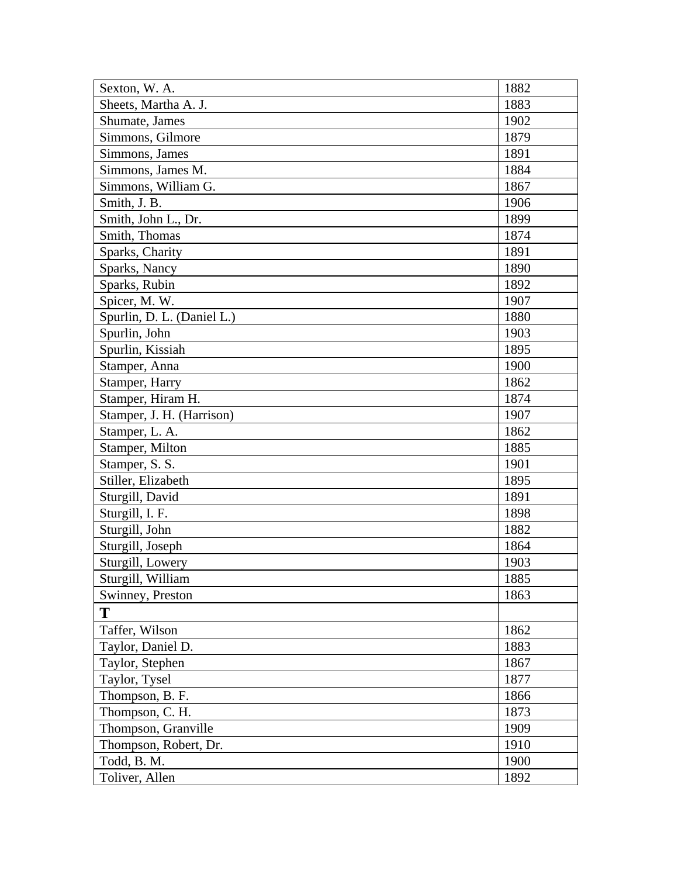| Sexton, W. A.              | 1882 |
|----------------------------|------|
| Sheets, Martha A. J.       | 1883 |
| Shumate, James             | 1902 |
| Simmons, Gilmore           | 1879 |
| Simmons, James             | 1891 |
| Simmons, James M.          | 1884 |
| Simmons, William G.        | 1867 |
| Smith, J. B.               | 1906 |
| Smith, John L., Dr.        | 1899 |
| Smith, Thomas              | 1874 |
| Sparks, Charity            | 1891 |
| Sparks, Nancy              | 1890 |
| Sparks, Rubin              | 1892 |
| Spicer, M. W.              | 1907 |
| Spurlin, D. L. (Daniel L.) | 1880 |
| Spurlin, John              | 1903 |
| Spurlin, Kissiah           | 1895 |
| Stamper, Anna              | 1900 |
| Stamper, Harry             | 1862 |
| Stamper, Hiram H.          | 1874 |
| Stamper, J. H. (Harrison)  | 1907 |
| Stamper, L. A.             | 1862 |
| Stamper, Milton            | 1885 |
| Stamper, S. S.             | 1901 |
| Stiller, Elizabeth         | 1895 |
| Sturgill, David            | 1891 |
| Sturgill, I. F.            | 1898 |
| Sturgill, John             | 1882 |
| Sturgill, Joseph           | 1864 |
| Sturgill, Lowery           | 1903 |
| Sturgill, William          | 1885 |
| Swinney, Preston           | 1863 |
| T                          |      |
| Taffer, Wilson             | 1862 |
| Taylor, Daniel D.          | 1883 |
| Taylor, Stephen            | 1867 |
| Taylor, Tysel              | 1877 |
| Thompson, B. F.            | 1866 |
| Thompson, C. H.            | 1873 |
| Thompson, Granville        | 1909 |
| Thompson, Robert, Dr.      | 1910 |
| Todd, B. M.                | 1900 |
| Toliver, Allen             | 1892 |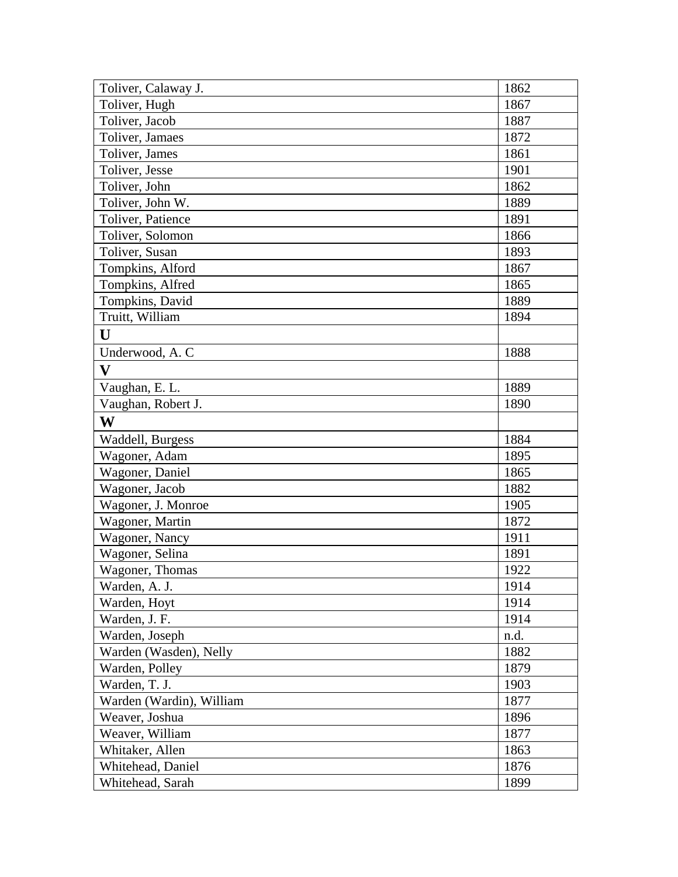| Toliver, Calaway J.      | 1862 |
|--------------------------|------|
| Toliver, Hugh            | 1867 |
| Toliver, Jacob           | 1887 |
| Toliver, Jamaes          | 1872 |
| Toliver, James           | 1861 |
| Toliver, Jesse           | 1901 |
| Toliver, John            | 1862 |
| Toliver, John W.         | 1889 |
| Toliver, Patience        | 1891 |
| Toliver, Solomon         | 1866 |
| Toliver, Susan           | 1893 |
| Tompkins, Alford         | 1867 |
| Tompkins, Alfred         | 1865 |
| Tompkins, David          | 1889 |
| Truitt, William          | 1894 |
| U                        |      |
| Underwood, A.C           | 1888 |
| $\overline{\mathbf{V}}$  |      |
| Vaughan, E. L.           | 1889 |
| Vaughan, Robert J.       | 1890 |
| W                        |      |
| Waddell, Burgess         | 1884 |
| Wagoner, Adam            | 1895 |
| Wagoner, Daniel          | 1865 |
| Wagoner, Jacob           | 1882 |
| Wagoner, J. Monroe       | 1905 |
| Wagoner, Martin          | 1872 |
| Wagoner, Nancy           | 1911 |
| Wagoner, Selina          | 1891 |
| Wagoner, Thomas          | 1922 |
| Warden, A. J.            | 1914 |
| Warden, Hoyt             | 1914 |
| Warden, J. F.            | 1914 |
| Warden, Joseph           | n.d. |
| Warden (Wasden), Nelly   | 1882 |
| Warden, Polley           | 1879 |
| Warden, T. J.            | 1903 |
| Warden (Wardin), William | 1877 |
| Weaver, Joshua           | 1896 |
| Weaver, William          | 1877 |
| Whitaker, Allen          | 1863 |
| Whitehead, Daniel        | 1876 |
| Whitehead, Sarah         | 1899 |